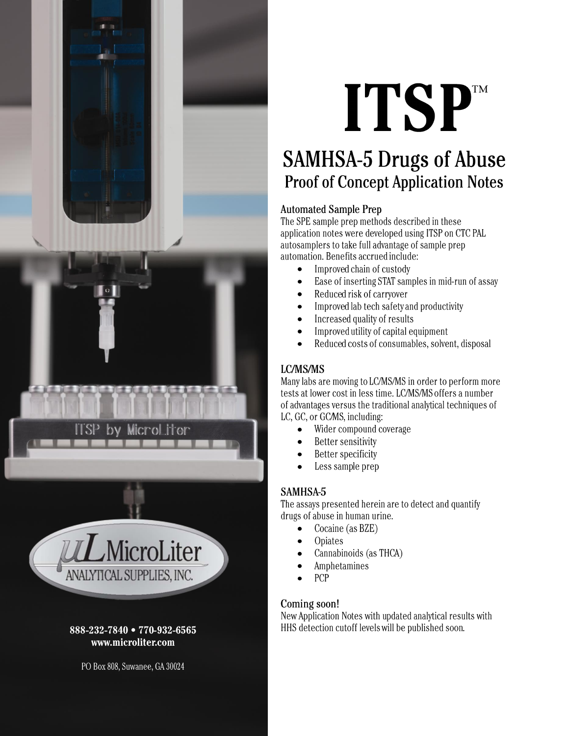



#### 888-232-7840 • 770-932-6565 www.microliter.com

PO Box 808, Suwanee, GA 30024

# **ITSPTM**

# **SAMHSA-5 Drugs of Abuse Proof of Concept Application Notes**

# **Automated Sample Prep**

The SPE sample prep methods described in these application notes were developed using ITSP on CTC PAL autosamplers to take full advantage of sample prep automation. Benefits accrued include:

- Improved chain of custody  $\bullet$
- Ease of inserting STAT samples in mid-run of assay  $\bullet$
- Reduced risk of carryover  $\bullet$
- Improved lab tech safety and productivity
- Increased quality of results
- Improved utility of capital equipment
- Reduced costs of consumables, solvent, disposal

# LC/MS/MS

Many labs are moving to LC/MS/MS in order to perform more tests at lower cost in less time. LC/MS/MS offers a number of advantages versus the traditional analytical techniques of LC, GC, or GC/MS, including:

- Wider compound coverage  $\bullet$
- Better sensitivity
- Better specificity
- Less sample prep

# SAMHSA-5

The assays presented herein are to detect and quantify drugs of abuse in human urine.

- Cocaine (as BZE)
- Opiates
- Cannabinoids (as THCA)
- Amphetamines
- **PCP**

# Coming soon!

New Application Notes with updated analytical results with HHS detection cutoff levels will be published soon.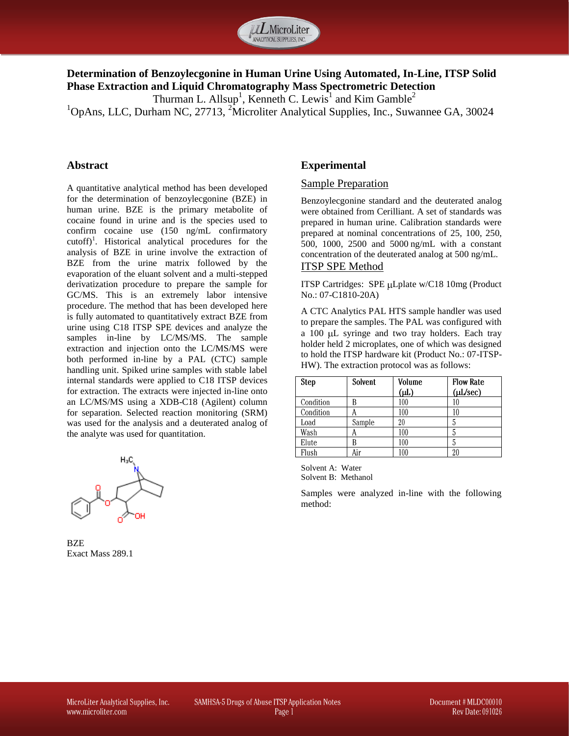

#### **Determination of Benzoylecgonine in Human Urine Using Automated, In-Line, ITSP Solid Phase Extraction and Liquid Chromatography Mass Spectrometric Detection**

Thurman L. Allsup<sup>1</sup>, Kenneth C. Lewis<sup>1</sup> and Kim Gamble<sup>2</sup>  $1$ OpAns, LLC, Durham NC, 27713, <sup>2</sup>Microliter Analytical Supplies, Inc., Suwannee GA, 30024

#### **Abstract**

A quantitative analytical method has been developed for the determination of benzoylecgonine (BZE) in human urine. BZE is the primary metabolite of cocaine found in urine and is the species used to confirm cocaine use (150 ng/mL confirmatory cutoff)<sup>1</sup>. Historical analytical procedures for the analysis of BZE in urine involve the extraction of BZE from the urine matrix followed by the evaporation of the eluant solvent and a multi-stepped derivatization procedure to prepare the sample for GC/MS. This is an extremely labor intensive procedure. The method that has been developed here is fully automated to quantitatively extract BZE from urine using C18 ITSP SPE devices and analyze the samples in-line by LC/MS/MS. The sample extraction and injection onto the LC/MS/MS were both performed in-line by a PAL (CTC) sample handling unit. Spiked urine samples with stable label internal standards were applied to C18 ITSP devices for extraction. The extracts were injected in-line onto an LC/MS/MS using a XDB-C18 (Agilent) column for separation. Selected reaction monitoring (SRM) was used for the analysis and a deuterated analog of the analyte was used for quantitation.



**BZE** Exact Mass 289.1

#### **Experimental**

#### **Sample Preparation**

Benzoylecgonine standard and the deuterated analog were obtained from Cerilliant. A set of standards was prepared in human urine. Calibration standards were prepared at nominal concentrations of 25, 100, 250, 500, 1000, 2500 and 5000 ng/mL with a constant concentration of the deuterated analog at 500 ng/mL. ITSP SPE Method

ITSP Cartridges: SPE uLplate w/C18 10mg (Product) No.: 07-C1810-20A)

A CTC Analytics PAL HTS sample handler was used to prepare the samples. The PAL was configured with a 100 µL syringe and two tray holders. Each tray holder held 2 microplates, one of which was designed to hold the ITSP hardware kit (Product No.: 07-ITSP-HW). The extraction protocol was as follows:

| Step      | Solvent | Volume    | <b>Flow Rate</b> |
|-----------|---------|-----------|------------------|
|           |         | $(\mu L)$ | $(\mu L/sec)$    |
| Condition | R       | 100       | IO               |
| Condition | А       | 100       | l0               |
| Load      | Sample  | 20        |                  |
| Wash      | A       | 100       |                  |
| Elute     |         | 100       |                  |
| Flush     | Air     | $\!\!100$ | 20               |

Solvent A: Water Solvent B: Methanol

Samples were analyzed in-line with the following method: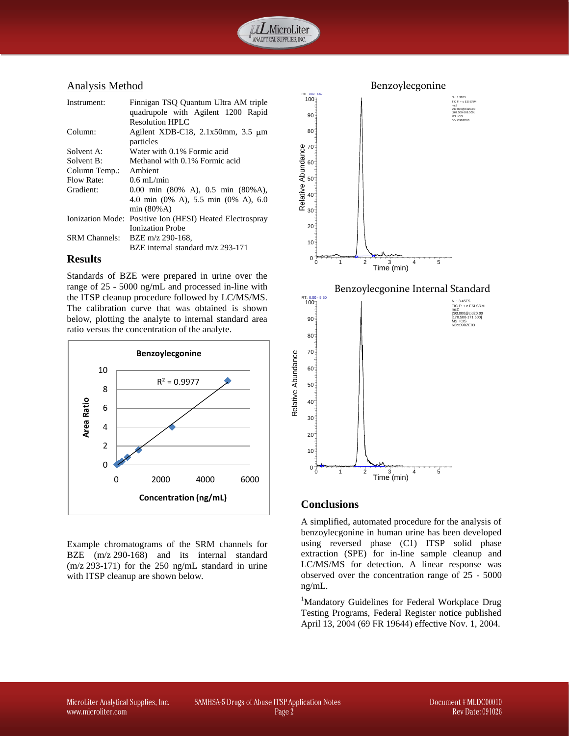

#### Analysis Method

| Instrument:             | Finnigan TSO Quantum Ultra AM triple<br>quadrupole with Agilent 1200 Rapid<br>Resolution HPLC |
|-------------------------|-----------------------------------------------------------------------------------------------|
| Column:                 | Agilent XDB-C18, $2.1x50$ mm, $3.5 \mu$ m<br>particles                                        |
| Solvent A:              | Water with 0.1% Formic acid                                                                   |
| Solvent B:              | Methanol with 0.1% Formic acid                                                                |
| Column Temp.:           | Ambient                                                                                       |
| Flow Rate:              | $0.6 \text{ mL/min}$                                                                          |
| Gradient:               | $0.00$ min $(80\%$ A), $0.5$ min $(80\%$ A),                                                  |
|                         | 4.0 min $(0\%$ A), 5.5 min $(0\%$ A), 6.0<br>min(80%A)                                        |
| <b>Ionization Mode:</b> | Positive Ion (HESI) Heated Electrospray                                                       |
|                         | <b>Ionization Probe</b>                                                                       |
| <b>SRM Channels:</b>    | BZE m/z 290-168,                                                                              |
|                         | BZE internal standard m/z 293-171                                                             |

#### **Results**

Standards of BZE were prepared in urine over the range of 25 - 5000 ng/mL and processed in-line with the ITSP cleanup procedure followed by LC/MS/MS. The calibration curve that was obtained is shown below, plotting the analyte to internal standard area ratio versus the concentration of the analyte.



Example chromatograms of the SRM channels for BZE (m/z 290-168) and its internal standard (m/z 293-171) for the 250 ng/mL standard in urine with ITSP cleanup are shown below.



#### **Conclusions**

A simplified, automated procedure for the analysis of benzoylecgonine in human urine has been developed using reversed phase (C1) ITSP solid phase extraction (SPE) for in-line sample cleanup and LC/MS/MS for detection. A linear response was observed over the concentration range of 25 - 5000 ng/mL.

<sup>1</sup>Mandatory Guidelines for Federal Workplace Drug Testing Programs, Federal Register notice published April 13, 2004 (69 FR 19644) effective Nov. 1, 2004.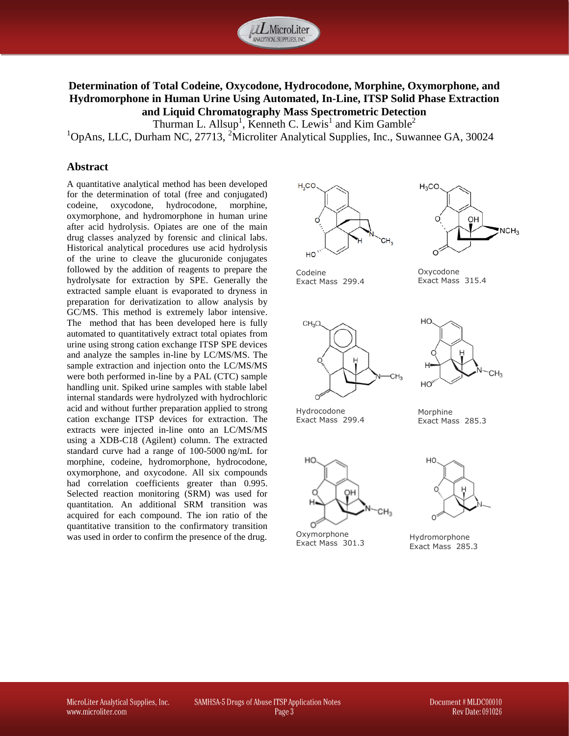

#### **Determination of Total Codeine, Oxycodone, Hydrocodone, Morphine, Oxymorphone, and Hydromorphone in Human Urine Using Automated, In-Line, ITSP Solid Phase Extraction and Liquid Chromatography Mass Spectrometric Detection**

Thurman L. Allsup<sup>1</sup>, Kenneth C. Lewis<sup>1</sup> and Kim Gamble<sup>2</sup>  $1$ OpAns, LLC, Durham NC, 27713,  $2$ Microliter Analytical Supplies, Inc., Suwannee GA, 30024

#### **Abstract**

A quantitative analytical method has been developed for the determination of total (free and conjugated) codeine, oxycodone, hydrocodone, morphine, oxymorphone, and hydromorphone in human urine after acid hydrolysis. Opiates are one of the main drug classes analyzed by forensic and clinical labs. Historical analytical procedures use acid hydrolysis of the urine to cleave the glucuronide conjugates followed by the addition of reagents to prepare the hydrolysate for extraction by SPE. Generally the extracted sample eluant is evaporated to dryness in preparation for derivatization to allow analysis by GC/MS. This method is extremely labor intensive. The method that has been developed here is fully automated to quantitatively extract total opiates from urine using strong cation exchange ITSP SPE devices and analyze the samples in-line by LC/MS/MS. The sample extraction and injection onto the LC/MS/MS were both performed in-line by a PAL (CTC) sample handling unit. Spiked urine samples with stable label internal standards were hydrolyzed with hydrochloric acid and without further preparation applied to strong cation exchange ITSP devices for extraction. The extracts were injected in-line onto an LC/MS/MS using a XDB-C18 (Agilent) column. The extracted standard curve had a range of 100-5000 ng/mL for morphine, codeine, hydromorphone, hydrocodone, oxymorphone, and oxycodone. All six compounds had correlation coefficients greater than 0.995. Selected reaction monitoring (SRM) was used for quantitation. An additional SRM transition was acquired for each compound. The ion ratio of the quantitative transition to the confirmatory transition was used in order to confirm the presence of the drug.





Codeine Exact Mass 299.4





Oxycodone Exact Mass 315.4

Hydrocodone Exact Mass 299.4

Morphine Exact Mass 285.3



**Oxymorphone** Exact Mass 301.3



Hydromorphone Exact Mass 285.3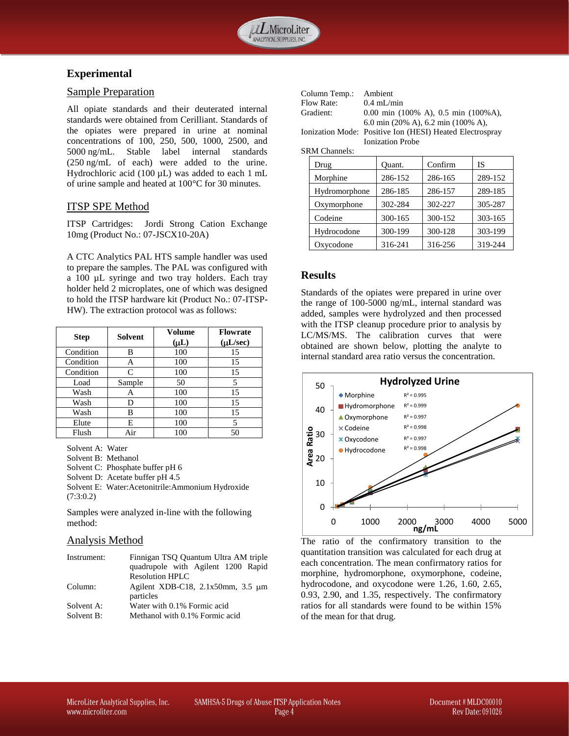

#### **Experimental**

#### Sample Preparation

All opiate standards and their deuterated internal standards were obtained from Cerilliant. Standards of the opiates were prepared in urine at nominal concentrations of 100, 250, 500, 1000, 2500, and 5000 ng/mL. Stable label internal standards (250 ng/mL of each) were added to the urine. Hydrochloric acid (100 µL) was added to each 1 mL of urine sample and heated at 100°C for 30 minutes.

#### ITSP SPE Method

ITSP Cartridges: Jordi Strong Cation Exchange 10mg (Product No.: 07-JSCX10-20A)

A CTC Analytics PAL HTS sample handler was used to prepare the samples. The PAL was configured with a 100 µL syringe and two tray holders. Each tray holder held 2 microplates, one of which was designed to hold the ITSP hardware kit (Product No.: 07-ITSP-HW). The extraction protocol was as follows:

| <b>Step</b> | <b>Solvent</b> | Volume    | <b>Flowrate</b> |
|-------------|----------------|-----------|-----------------|
|             |                | $(\mu L)$ | $(\mu L/sec)$   |
| Condition   | В              | 100       | 15              |
| Condition   | Α              | 100       | 15              |
| Condition   | C              | 100       | 15              |
| Load        | Sample         | 50        | 5               |
| Wash        | Α              | 100       | 15              |
| Wash        | D              | 100       | 15              |
| Wash        | В              | 100       | 15              |
| Elute       | F.             | 100       | 5               |
| Flush       | Air            | 100       | 50              |

Solvent A: Water

Solvent B: Methanol

Solvent C: Phosphate buffer pH 6

Solvent D: Acetate buffer pH 4.5

Solvent E: Water:Acetonitrile:Ammonium Hydroxide (7:3:0.2)

Samples were analyzed in-line with the following method:

#### Analysis Method

| Instrument: | Finnigan TSQ Quantum Ultra AM triple      |  |  |  |
|-------------|-------------------------------------------|--|--|--|
|             | quadrupole with Agilent 1200 Rapid        |  |  |  |
|             | <b>Resolution HPLC</b>                    |  |  |  |
| Column:     | Agilent XDB-C18, $2.1x50$ mm, $3.5 \mu$ m |  |  |  |
|             | particles                                 |  |  |  |
| Solvent A:  | Water with 0.1% Formic acid               |  |  |  |
| Solvent B:  | Methanol with 0.1% Formic acid            |  |  |  |

| Column Temp.: | Ambient                                                  |
|---------------|----------------------------------------------------------|
| Flow Rate:    | $0.4$ mL/min                                             |
| Gradient:     | $0.00$ min $(100\%$ A), $0.5$ min $(100\%$ A),           |
|               | 6.0 min $(20\% A)$ , 6.2 min $(100\% A)$ ,               |
|               | Ionization Mode: Positive Ion (HESI) Heated Electrospray |
|               | <b>Ionization Probe</b>                                  |
|               |                                                          |

SRM Channels:

| Drug          | Quant.  | Confirm | IS      |
|---------------|---------|---------|---------|
| Morphine      | 286-152 | 286-165 | 289-152 |
| Hydromorphone | 286-185 | 286-157 | 289-185 |
| Oxymorphone   | 302-284 | 302-227 | 305-287 |
| Codeine       | 300-165 | 300-152 | 303-165 |
| Hydrocodone   | 300-199 | 300-128 | 303-199 |
| Oxycodone     | 316-241 | 316-256 | 319-244 |

#### **Results**

Standards of the opiates were prepared in urine over the range of 100-5000 ng/mL, internal standard was added, samples were hydrolyzed and then processed with the ITSP cleanup procedure prior to analysis by LC/MS/MS. The calibration curves that were obtained are shown below, plotting the analyte to internal standard area ratio versus the concentration.



The ratio of the confirmatory transition to the quantitation transition was calculated for each drug at each concentration. The mean confirmatory ratios for morphine, hydromorphone, oxymorphone, codeine, hydrocodone, and oxycodone were 1.26, 1.60, 2.65, 0.93, 2.90, and 1.35, respectively. The confirmatory ratios for all standards were found to be within 15% of the mean for that drug.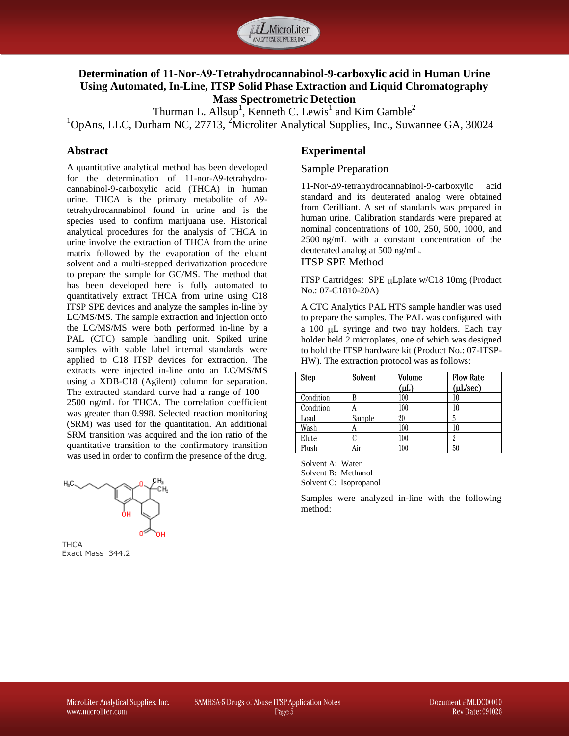

#### **Determination of 11-Nor-Δ9-Tetrahydrocannabinol-9-carboxylic acid in Human Urine Using Automated, In-Line, ITSP Solid Phase Extraction and Liquid Chromatography Mass Spectrometric Detection**

Thurman L. Allsup<sup>1</sup>, Kenneth C. Lewis<sup>1</sup> and Kim Gamble<sup>2</sup>  $1<sup>1</sup>$ OpAns, LLC, Durham NC, 27713,  $<sup>2</sup>$ Microliter Analytical Supplies, Inc., Suwannee GA, 30024</sup>

#### **Abstract**

A quantitative analytical method has been developed for the determination of 11-nor-Δ9-tetrahydrocannabinol-9-carboxylic acid (THCA) in human urine. THCA is the primary metabolite of Δ9 tetrahydrocannabinol found in urine and is the species used to confirm marijuana use. Historical analytical procedures for the analysis of THCA in urine involve the extraction of THCA from the urine matrix followed by the evaporation of the eluant solvent and a multi-stepped derivatization procedure to prepare the sample for GC/MS. The method that has been developed here is fully automated to quantitatively extract THCA from urine using C18 ITSP SPE devices and analyze the samples in-line by LC/MS/MS. The sample extraction and injection onto the LC/MS/MS were both performed in-line by a PAL (CTC) sample handling unit. Spiked urine samples with stable label internal standards were applied to C18 ITSP devices for extraction. The extracts were injected in-line onto an LC/MS/MS using a XDB-C18 (Agilent) column for separation. The extracted standard curve had a range of 100 – 2500 ng/mL for THCA. The correlation coefficient was greater than 0.998. Selected reaction monitoring (SRM) was used for the quantitation. An additional SRM transition was acquired and the ion ratio of the quantitative transition to the confirmatory transition was used in order to confirm the presence of the drug.



Exact Mass 344.2

#### **Experimental**

#### Sample Preparation

11-Nor-Δ9-tetrahydrocannabinol-9-carboxylic acid standard and its deuterated analog were obtained from Cerilliant. A set of standards was prepared in human urine. Calibration standards were prepared at nominal concentrations of 100, 250, 500, 1000, and 2500 ng/mL with a constant concentration of the deuterated analog at 500 ng/mL.

#### ITSP SPE Method

ITSP Cartridges: SPE µLplate w/C18 10mg (Product No.: 07-C1810-20A)

A CTC Analytics PAL HTS sample handler was used to prepare the samples. The PAL was configured with a 100 µL syringe and two tray holders. Each tray holder held 2 microplates, one of which was designed to hold the ITSP hardware kit (Product No.: 07-ITSP-HW). The extraction protocol was as follows:

| <b>Step</b> | Solvent | Volume | <b>Flow Rate</b> |
|-------------|---------|--------|------------------|
|             |         | (µL)   | $(\mu L/sec)$    |
| Condition   |         | 100    | 10               |
| Condition   |         | 100    | 10               |
| Load        | Sample  | 20     |                  |
| Wash        | A       | 100    | 10               |
| Elute       |         | 100    |                  |
| Flush       | Air     | 100    | 50               |

Solvent A: Water Solvent B: Methanol Solvent C: Isopropanol

Samples were analyzed in-line with the following method: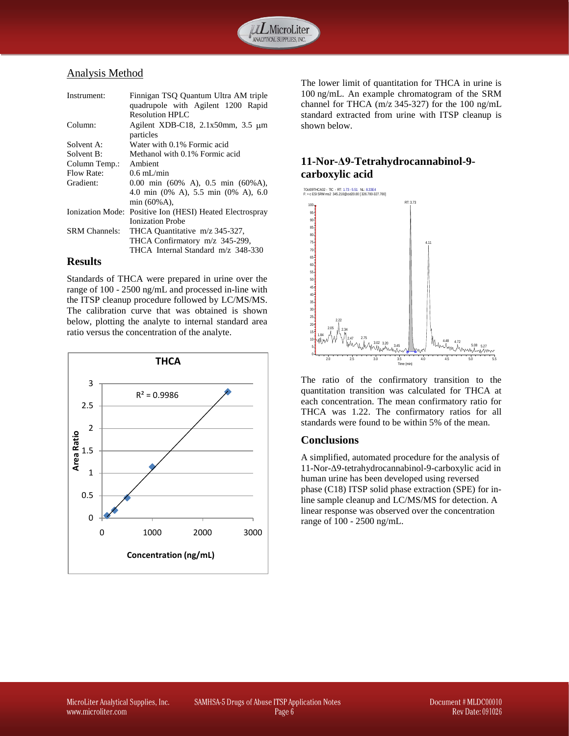

#### Analysis Method

| Instrument:             | Finnigan TSQ Quantum Ultra AM triple<br>quadrupole with Agilent 1200 Rapid<br>Resolution HPLC |  |  |  |  |
|-------------------------|-----------------------------------------------------------------------------------------------|--|--|--|--|
| Column:                 | Agilent XDB-C18, 2.1x50mm, 3.5 µm<br>particles                                                |  |  |  |  |
| Solvent A:              | Water with 0.1% Formic acid                                                                   |  |  |  |  |
| Solvent B:              | Methanol with 0.1% Formic acid                                                                |  |  |  |  |
| Column Temp.:           | Ambient                                                                                       |  |  |  |  |
| Flow Rate:              | $0.6 \text{ mL/min}$                                                                          |  |  |  |  |
| Gradient:               | $0.00$ min $(60\%$ A), $0.5$ min $(60\%$ A),                                                  |  |  |  |  |
|                         | 4.0 min $(0\% A)$ , 5.5 min $(0\% A)$ , 6.0<br>min $(60\% A)$ ,                               |  |  |  |  |
| <b>Ionization Mode:</b> | Positive Ion (HESI) Heated Electrospray                                                       |  |  |  |  |
|                         | <b>Ionization Probe</b>                                                                       |  |  |  |  |
| <b>SRM</b> Channels:    | THCA Quantitative m/z 345-327,                                                                |  |  |  |  |
|                         | THCA Confirmatory m/z 345-299,                                                                |  |  |  |  |
|                         | THCA Internal Standard m/z 348-330                                                            |  |  |  |  |

#### **Results**

Standards of THCA were prepared in urine over the range of 100 - 2500 ng/mL and processed in-line with the ITSP cleanup procedure followed by LC/MS/MS. The calibration curve that was obtained is shown below, plotting the analyte to internal standard area ratio versus the concentration of the analyte.



The lower limit of quantitation for THCA in urine is 100 ng/mL. An example chromatogram of the SRM channel for THCA (m/z 345-327) for the 100 ng/mL standard extracted from urine with ITSP cleanup is shown below.

### **11-Nor-Δ9-Tetrahydrocannabinol-9 carboxylic acid**



The ratio of the confirmatory transition to the quantitation transition was calculated for THCA at each concentration. The mean confirmatory ratio for THCA was 1.22. The confirmatory ratios for all standards were found to be within 5% of the mean.

#### **Conclusions**

A simplified, automated procedure for the analysis of 11-Nor-Δ9-tetrahydrocannabinol-9-carboxylic acid in human urine has been developed using reversed phase (C18) ITSP solid phase extraction (SPE) for inline sample cleanup and LC/MS/MS for detection. A linear response was observed over the concentration range of 100 - 2500 ng/mL.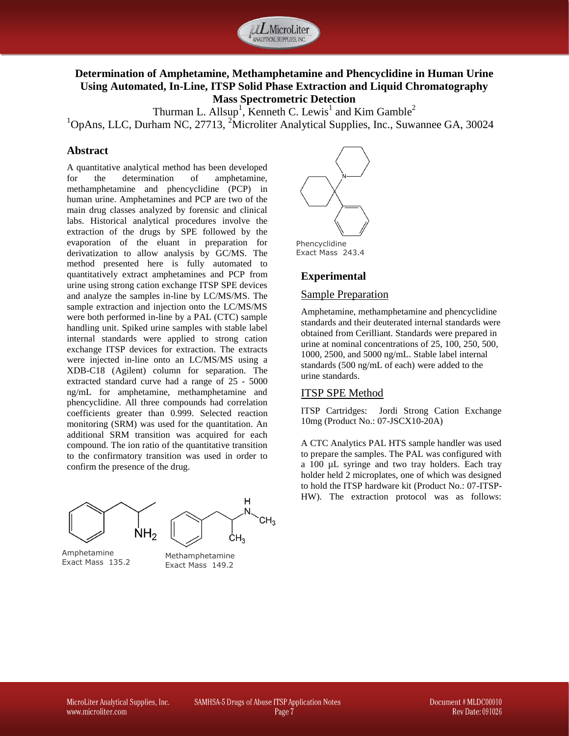

#### **Determination of Amphetamine, Methamphetamine and Phencyclidine in Human Urine Using Automated, In-Line, ITSP Solid Phase Extraction and Liquid Chromatography Mass Spectrometric Detection**

Thurman L. Allsup<sup>1</sup>, Kenneth C. Lewis<sup>1</sup> and Kim Gamble<sup>2</sup>  $1$ OpAns, LLC, Durham NC, 27713,  $2$ Microliter Analytical Supplies, Inc., Suwannee GA, 30024

#### **Abstract**

A quantitative analytical method has been developed for the determination of amphetamine, methamphetamine and phencyclidine (PCP) in human urine. Amphetamines and PCP are two of the main drug classes analyzed by forensic and clinical labs. Historical analytical procedures involve the extraction of the drugs by SPE followed by the evaporation of the eluant in preparation for derivatization to allow analysis by GC/MS. The method presented here is fully automated to quantitatively extract amphetamines and PCP from urine using strong cation exchange ITSP SPE devices and analyze the samples in-line by LC/MS/MS. The sample extraction and injection onto the LC/MS/MS were both performed in-line by a PAL (CTC) sample handling unit. Spiked urine samples with stable label internal standards were applied to strong cation exchange ITSP devices for extraction. The extracts were injected in-line onto an LC/MS/MS using a XDB-C18 (Agilent) column for separation. The extracted standard curve had a range of 25 - 5000 ng/mL for amphetamine, methamphetamine and phencyclidine. All three compounds had correlation coefficients greater than 0.999. Selected reaction monitoring (SRM) was used for the quantitation. An additional SRM transition was acquired for each compound. The ion ratio of the quantitative transition to the confirmatory transition was used in order to confirm the presence of the drug.



Amphetamine Exact Mass 135.2

Methamphetamine Exact Mass 149.2



#### **Experimental**

#### Sample Preparation

Amphetamine, methamphetamine and phencyclidine standards and their deuterated internal standards were obtained from Cerilliant. Standards were prepared in urine at nominal concentrations of 25, 100, 250, 500, 1000, 2500, and 5000 ng/mL. Stable label internal standards (500 ng/mL of each) were added to the urine standards.

#### ITSP SPE Method

ITSP Cartridges: Jordi Strong Cation Exchange 10mg (Product No.: 07-JSCX10-20A)

A CTC Analytics PAL HTS sample handler was used to prepare the samples. The PAL was configured with a 100 µL syringe and two tray holders. Each tray holder held 2 microplates, one of which was designed to hold the ITSP hardware kit (Product No.: 07-ITSP-HW). The extraction protocol was as follows: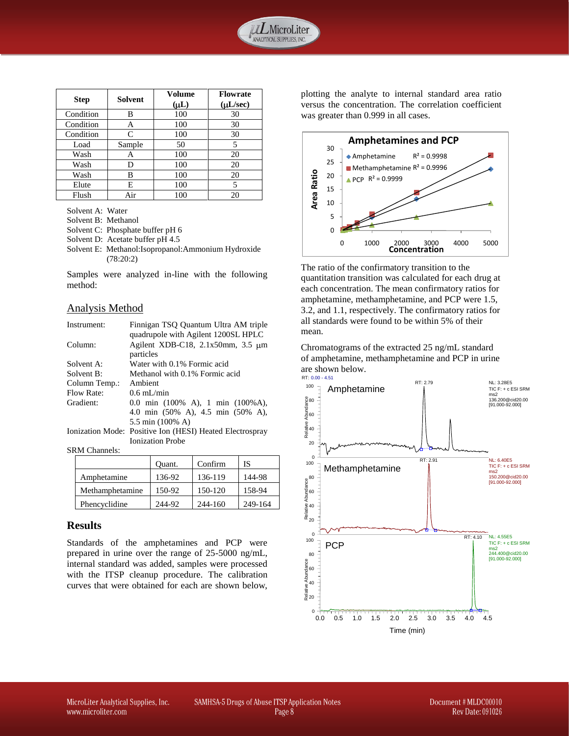

|             | Solvent   | Volume    | <b>Flowrate</b> |
|-------------|-----------|-----------|-----------------|
| <b>Step</b> |           | $(\mu L)$ | $(\mu L/sec)$   |
| Condition   | в         | 100       | 30              |
| Condition   | А         | 100       | 30              |
| Condition   | $\subset$ | 100       | 30              |
| Load        | Sample    | 50        | 5               |
| Wash        | Α         | 100       | 20              |
| Wash        | D         | 100       | 20              |
| Wash        | В         | 100       | 20              |
| Elute       | E         | 100       | 5               |
| Flush       | Air       | 100       | 20              |

Solvent A: Water

Solvent B: Methanol

Solvent C: Phosphate buffer pH 6

Solvent D: Acetate buffer pH 4.5

Solvent E: Methanol:Isopropanol:Ammonium Hydroxide (78:20:2)

Samples were analyzed in-line with the following method:

#### Analysis Method

| Instrument:   | Finnigan TSQ Quantum Ultra AM triple<br>quadrupole with Agilent 1200SL HPLC |  |  |  |
|---------------|-----------------------------------------------------------------------------|--|--|--|
|               |                                                                             |  |  |  |
| Column:       | Agilent XDB-C18, $2.1x50$ mm, $3.5 \mu$ m<br>particles                      |  |  |  |
| Solvent A:    | Water with 0.1% Formic acid                                                 |  |  |  |
| Solvent B:    | Methanol with 0.1% Formic acid                                              |  |  |  |
| Column Temp.: | Ambient                                                                     |  |  |  |
| Flow Rate:    | $0.6 \text{ mL/min}$                                                        |  |  |  |
| Gradient:     | 0.0 min $(100\%$ A), 1 min $(100\%$ A),                                     |  |  |  |
|               | 4.0 min (50% A), 4.5 min (50% A),                                           |  |  |  |
|               | 5.5 min (100% A)                                                            |  |  |  |
|               | Ionization Mode: Positive Ion (HESI) Heated Electrospray                    |  |  |  |
|               | <b>Ionization Probe</b>                                                     |  |  |  |

SRM Channels:

|                 | Ouant. | Confirm | <b>IS</b> |
|-----------------|--------|---------|-----------|
| Amphetamine     | 136-92 | 136-119 | 144-98    |
| Methamphetamine | 150-92 | 150-120 | 158-94    |
| Phencyclidine   | 244-92 | 244-160 | 249-164   |

#### **Results**

Standards of the amphetamines and PCP were prepared in urine over the range of 25-5000 ng/mL, internal standard was added, samples were processed with the ITSP cleanup procedure. The calibration curves that were obtained for each are shown below,

plotting the analyte to internal standard area ratio versus the concentration. The correlation coefficient was greater than 0.999 in all cases.



The ratio of the confirmatory transition to the quantitation transition was calculated for each drug at each concentration. The mean confirmatory ratios for amphetamine, methamphetamine, and PCP were 1.5, 3.2, and 1.1, respectively. The confirmatory ratios for all standards were found to be within 5% of their mean.

Chromatograms of the extracted 25 ng/mL standard of amphetamine, methamphetamine and PCP in urine are shown below.